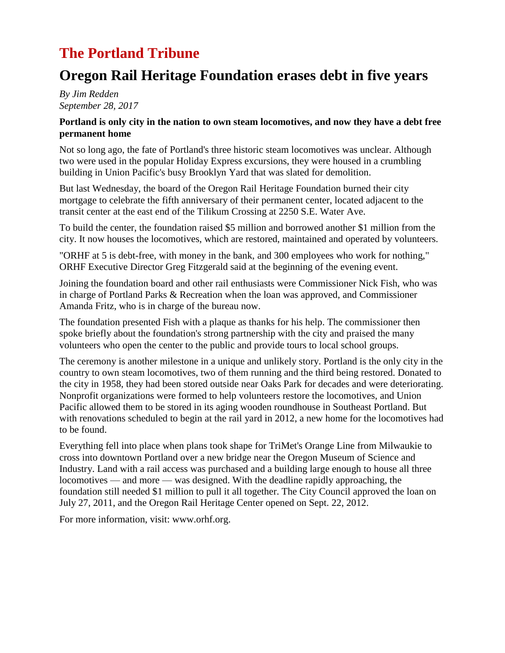## **The Portland Tribune**

### **Oregon Rail Heritage Foundation erases debt in five years**

*By Jim Redden September 28, 2017*

#### **Portland is only city in the nation to own steam locomotives, and now they have a debt free permanent home**

Not so long ago, the fate of Portland's three historic steam locomotives was unclear. Although two were used in the popular Holiday Express excursions, they were housed in a crumbling building in Union Pacific's busy Brooklyn Yard that was slated for demolition.

But last Wednesday, the board of the Oregon Rail Heritage Foundation burned their city mortgage to celebrate the fifth anniversary of their permanent center, located adjacent to the transit center at the east end of the Tilikum Crossing at 2250 S.E. Water Ave.

To build the center, the foundation raised \$5 million and borrowed another \$1 million from the city. It now houses the locomotives, which are restored, maintained and operated by volunteers.

"ORHF at 5 is debt-free, with money in the bank, and 300 employees who work for nothing," ORHF Executive Director Greg Fitzgerald said at the beginning of the evening event.

Joining the foundation board and other rail enthusiasts were Commissioner Nick Fish, who was in charge of Portland Parks & Recreation when the loan was approved, and Commissioner Amanda Fritz, who is in charge of the bureau now.

The foundation presented Fish with a plaque as thanks for his help. The commissioner then spoke briefly about the foundation's strong partnership with the city and praised the many volunteers who open the center to the public and provide tours to local school groups.

The ceremony is another milestone in a unique and unlikely story. Portland is the only city in the country to own steam locomotives, two of them running and the third being restored. Donated to the city in 1958, they had been stored outside near Oaks Park for decades and were deteriorating. Nonprofit organizations were formed to help volunteers restore the locomotives, and Union Pacific allowed them to be stored in its aging wooden roundhouse in Southeast Portland. But with renovations scheduled to begin at the rail yard in 2012, a new home for the locomotives had to be found.

Everything fell into place when plans took shape for TriMet's Orange Line from Milwaukie to cross into downtown Portland over a new bridge near the Oregon Museum of Science and Industry. Land with a rail access was purchased and a building large enough to house all three locomotives — and more — was designed. With the deadline rapidly approaching, the foundation still needed \$1 million to pull it all together. The City Council approved the loan on July 27, 2011, and the Oregon Rail Heritage Center opened on Sept. 22, 2012.

For more information, visit: www.orhf.org.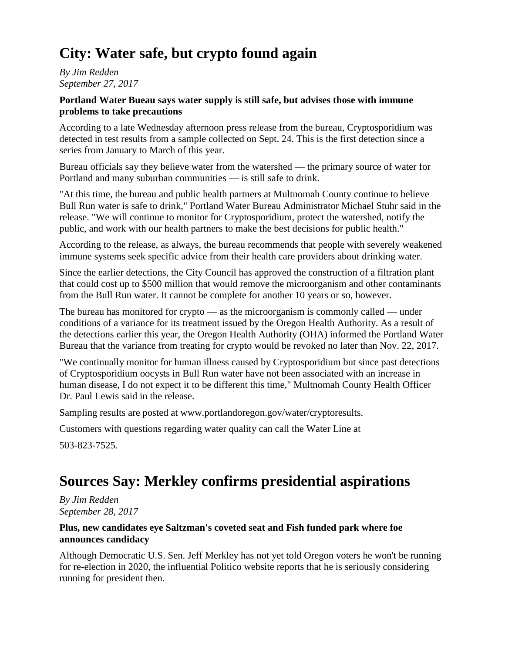# **City: Water safe, but crypto found again**

*By Jim Redden September 27, 2017*

#### **Portland Water Bueau says water supply is still safe, but advises those with immune problems to take precautions**

According to a late Wednesday afternoon press release from the bureau, Cryptosporidium was detected in test results from a sample collected on Sept. 24. This is the first detection since a series from January to March of this year.

Bureau officials say they believe water from the watershed — the primary source of water for Portland and many suburban communities — is still safe to drink.

"At this time, the bureau and public health partners at Multnomah County continue to believe Bull Run water is safe to drink," Portland Water Bureau Administrator Michael Stuhr said in the release. "We will continue to monitor for Cryptosporidium, protect the watershed, notify the public, and work with our health partners to make the best decisions for public health."

According to the release, as always, the bureau recommends that people with severely weakened immune systems seek specific advice from their health care providers about drinking water.

Since the earlier detections, the City Council has approved the construction of a filtration plant that could cost up to \$500 million that would remove the microorganism and other contaminants from the Bull Run water. It cannot be complete for another 10 years or so, however.

The bureau has monitored for crypto — as the microorganism is commonly called — under conditions of a variance for its treatment issued by the Oregon Health Authority. As a result of the detections earlier this year, the Oregon Health Authority (OHA) informed the Portland Water Bureau that the variance from treating for crypto would be revoked no later than Nov. 22, 2017.

"We continually monitor for human illness caused by Cryptosporidium but since past detections of Cryptosporidium oocysts in Bull Run water have not been associated with an increase in human disease, I do not expect it to be different this time," Multnomah County Health Officer Dr. Paul Lewis said in the release.

Sampling results are posted at www.portlandoregon.gov/water/cryptoresults.

Customers with questions regarding water quality can call the Water Line at

503-823-7525.

## **Sources Say: Merkley confirms presidential aspirations**

*By Jim Redden September 28, 2017*

#### **Plus, new candidates eye Saltzman's coveted seat and Fish funded park where foe announces candidacy**

Although Democratic U.S. Sen. Jeff Merkley has not yet told Oregon voters he won't be running for re-election in 2020, the influential Politico website reports that he is seriously considering running for president then.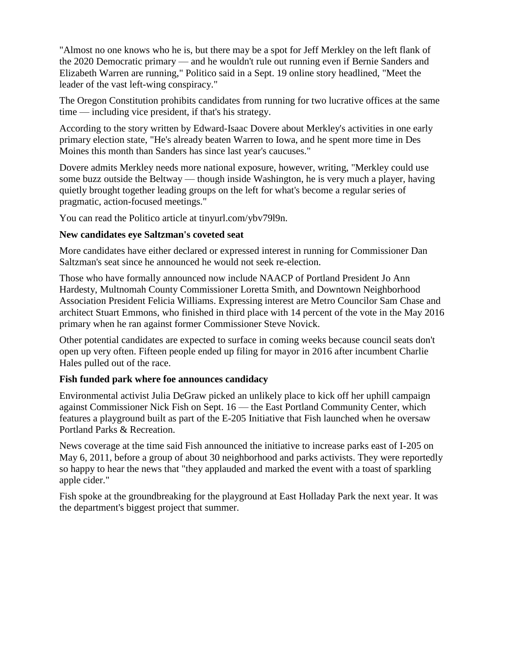"Almost no one knows who he is, but there may be a spot for Jeff Merkley on the left flank of the 2020 Democratic primary — and he wouldn't rule out running even if Bernie Sanders and Elizabeth Warren are running," Politico said in a Sept. 19 online story headlined, "Meet the leader of the vast left-wing conspiracy."

The Oregon Constitution prohibits candidates from running for two lucrative offices at the same time — including vice president, if that's his strategy.

According to the story written by Edward-Isaac Dovere about Merkley's activities in one early primary election state, "He's already beaten Warren to Iowa, and he spent more time in Des Moines this month than Sanders has since last year's caucuses."

Dovere admits Merkley needs more national exposure, however, writing, "Merkley could use some buzz outside the Beltway — though inside Washington, he is very much a player, having quietly brought together leading groups on the left for what's become a regular series of pragmatic, action-focused meetings."

You can read the Politico article at tinyurl.com/ybv79l9n.

#### **New candidates eye Saltzman's coveted seat**

More candidates have either declared or expressed interest in running for Commissioner Dan Saltzman's seat since he announced he would not seek re-election.

Those who have formally announced now include NAACP of Portland President Jo Ann Hardesty, Multnomah County Commissioner Loretta Smith, and Downtown Neighborhood Association President Felicia Williams. Expressing interest are Metro Councilor Sam Chase and architect Stuart Emmons, who finished in third place with 14 percent of the vote in the May 2016 primary when he ran against former Commissioner Steve Novick.

Other potential candidates are expected to surface in coming weeks because council seats don't open up very often. Fifteen people ended up filing for mayor in 2016 after incumbent Charlie Hales pulled out of the race.

#### **Fish funded park where foe announces candidacy**

Environmental activist Julia DeGraw picked an unlikely place to kick off her uphill campaign against Commissioner Nick Fish on Sept. 16 — the East Portland Community Center, which features a playground built as part of the E-205 Initiative that Fish launched when he oversaw Portland Parks & Recreation.

News coverage at the time said Fish announced the initiative to increase parks east of I-205 on May 6, 2011, before a group of about 30 neighborhood and parks activists. They were reportedly so happy to hear the news that "they applauded and marked the event with a toast of sparkling apple cider."

Fish spoke at the groundbreaking for the playground at East Holladay Park the next year. It was the department's biggest project that summer.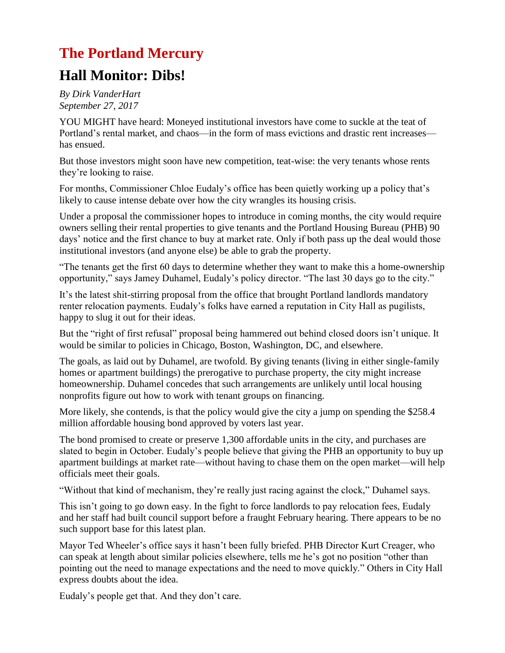### **The Portland Mercury**

### **Hall Monitor: Dibs!**

*By Dirk VanderHart September 27, 2017*

YOU MIGHT have heard: Moneyed institutional investors have come to suckle at the teat of Portland's rental market, and chaos—in the form of mass evictions and drastic rent increases has ensued.

But those investors might soon have new competition, teat-wise: the very tenants whose rents they're looking to raise.

For months, Commissioner Chloe Eudaly's office has been quietly working up a policy that's likely to cause intense debate over how the city wrangles its housing crisis.

Under a proposal the commissioner hopes to introduce in coming months, the city would require owners selling their rental properties to give tenants and the Portland Housing Bureau (PHB) 90 days' notice and the first chance to buy at market rate. Only if both pass up the deal would those institutional investors (and anyone else) be able to grab the property.

"The tenants get the first 60 days to determine whether they want to make this a home-ownership opportunity," says Jamey Duhamel, Eudaly's policy director. "The last 30 days go to the city."

It's the latest shit-stirring proposal from the office that brought Portland landlords mandatory renter relocation payments. Eudaly's folks have earned a reputation in City Hall as pugilists, happy to slug it out for their ideas.

But the "right of first refusal" proposal being hammered out behind closed doors isn't unique. It would be similar to policies in Chicago, Boston, Washington, DC, and elsewhere.

The goals, as laid out by Duhamel, are twofold. By giving tenants (living in either single-family homes or apartment buildings) the prerogative to purchase property, the city might increase homeownership. Duhamel concedes that such arrangements are unlikely until local housing nonprofits figure out how to work with tenant groups on financing.

More likely, she contends, is that the policy would give the city a jump on spending the \$258.4 million affordable housing bond approved by voters last year.

The bond promised to create or preserve 1,300 affordable units in the city, and purchases are slated to begin in October. Eudaly's people believe that giving the PHB an opportunity to buy up apartment buildings at market rate—without having to chase them on the open market—will help officials meet their goals.

"Without that kind of mechanism, they're really just racing against the clock," Duhamel says.

This isn't going to go down easy. In the fight to force landlords to pay relocation fees, Eudaly and her staff had built council support before a fraught February hearing. There appears to be no such support base for this latest plan.

Mayor Ted Wheeler's office says it hasn't been fully briefed. PHB Director Kurt Creager, who can speak at length about similar policies elsewhere, tells me he's got no position "other than pointing out the need to manage expectations and the need to move quickly." Others in City Hall express doubts about the idea.

Eudaly's people get that. And they don't care.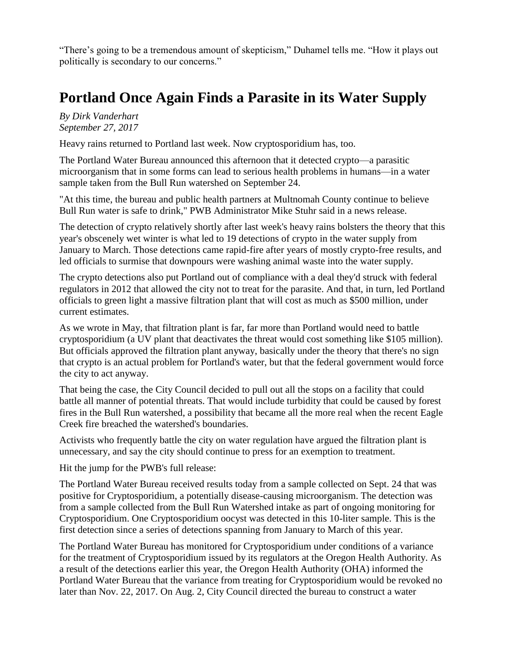"There's going to be a tremendous amount of skepticism," Duhamel tells me. "How it plays out politically is secondary to our concerns."

# **Portland Once Again Finds a Parasite in its Water Supply**

*By Dirk Vanderhart September 27, 2017*

Heavy rains returned to Portland last week. Now cryptosporidium has, too.

The Portland Water Bureau announced this afternoon that it detected crypto—a parasitic microorganism that in some forms can lead to serious health problems in humans—in a water sample taken from the Bull Run watershed on September 24.

"At this time, the bureau and public health partners at Multnomah County continue to believe Bull Run water is safe to drink," PWB Administrator Mike Stuhr said in a news release.

The detection of crypto relatively shortly after last week's heavy rains bolsters the theory that this year's obscenely wet winter is what led to 19 detections of crypto in the water supply from January to March. Those detections came rapid-fire after years of mostly crypto-free results, and led officials to surmise that downpours were washing animal waste into the water supply.

The crypto detections also put Portland out of compliance with a deal they'd struck with federal regulators in 2012 that allowed the city not to treat for the parasite. And that, in turn, led Portland officials to green light a massive filtration plant that will cost as much as \$500 million, under current estimates.

As we wrote in May, that filtration plant is far, far more than Portland would need to battle cryptosporidium (a UV plant that deactivates the threat would cost something like \$105 million). But officials approved the filtration plant anyway, basically under the theory that there's no sign that crypto is an actual problem for Portland's water, but that the federal government would force the city to act anyway.

That being the case, the City Council decided to pull out all the stops on a facility that could battle all manner of potential threats. That would include turbidity that could be caused by forest fires in the Bull Run watershed, a possibility that became all the more real when the recent Eagle Creek fire breached the watershed's boundaries.

Activists who frequently battle the city on water regulation have argued the filtration plant is unnecessary, and say the city should continue to press for an exemption to treatment.

Hit the jump for the PWB's full release:

The Portland Water Bureau received results today from a sample collected on Sept. 24 that was positive for Cryptosporidium, a potentially disease-causing microorganism. The detection was from a sample collected from the Bull Run Watershed intake as part of ongoing monitoring for Cryptosporidium. One Cryptosporidium oocyst was detected in this 10-liter sample. This is the first detection since a series of detections spanning from January to March of this year.

The Portland Water Bureau has monitored for Cryptosporidium under conditions of a variance for the treatment of Cryptosporidium issued by its regulators at the Oregon Health Authority. As a result of the detections earlier this year, the Oregon Health Authority (OHA) informed the Portland Water Bureau that the variance from treating for Cryptosporidium would be revoked no later than Nov. 22, 2017. On Aug. 2, City Council directed the bureau to construct a water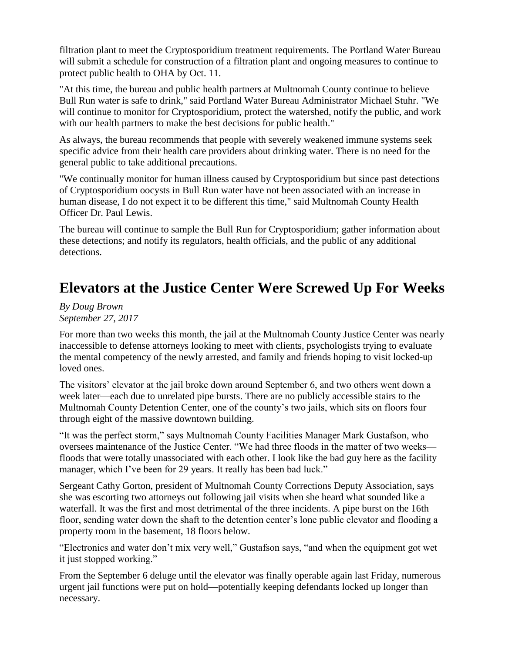filtration plant to meet the Cryptosporidium treatment requirements. The Portland Water Bureau will submit a schedule for construction of a filtration plant and ongoing measures to continue to protect public health to OHA by Oct. 11.

"At this time, the bureau and public health partners at Multnomah County continue to believe Bull Run water is safe to drink," said Portland Water Bureau Administrator Michael Stuhr. "We will continue to monitor for Cryptosporidium, protect the watershed, notify the public, and work with our health partners to make the best decisions for public health."

As always, the bureau recommends that people with severely weakened immune systems seek specific advice from their health care providers about drinking water. There is no need for the general public to take additional precautions.

"We continually monitor for human illness caused by Cryptosporidium but since past detections of Cryptosporidium oocysts in Bull Run water have not been associated with an increase in human disease, I do not expect it to be different this time," said Multnomah County Health Officer Dr. Paul Lewis.

The bureau will continue to sample the Bull Run for Cryptosporidium; gather information about these detections; and notify its regulators, health officials, and the public of any additional detections.

## **Elevators at the Justice Center Were Screwed Up For Weeks**

*By Doug Brown September 27, 2017*

For more than two weeks this month, the jail at the Multnomah County Justice Center was nearly inaccessible to defense attorneys looking to meet with clients, psychologists trying to evaluate the mental competency of the newly arrested, and family and friends hoping to visit locked-up loved ones.

The visitors' elevator at the jail broke down around September 6, and two others went down a week later—each due to unrelated pipe bursts. There are no publicly accessible stairs to the Multnomah County Detention Center, one of the county's two jails, which sits on floors four through eight of the massive downtown building.

"It was the perfect storm," says Multnomah County Facilities Manager Mark Gustafson, who oversees maintenance of the Justice Center. "We had three floods in the matter of two weeks floods that were totally unassociated with each other. I look like the bad guy here as the facility manager, which I've been for 29 years. It really has been bad luck."

Sergeant Cathy Gorton, president of Multnomah County Corrections Deputy Association, says she was escorting two attorneys out following jail visits when she heard what sounded like a waterfall. It was the first and most detrimental of the three incidents. A pipe burst on the 16th floor, sending water down the shaft to the detention center's lone public elevator and flooding a property room in the basement, 18 floors below.

"Electronics and water don't mix very well," Gustafson says, "and when the equipment got wet it just stopped working."

From the September 6 deluge until the elevator was finally operable again last Friday, numerous urgent jail functions were put on hold—potentially keeping defendants locked up longer than necessary.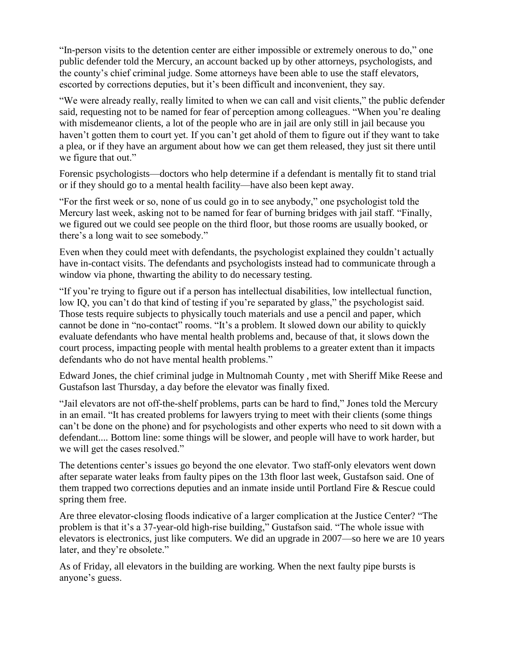"In-person visits to the detention center are either impossible or extremely onerous to do," one public defender told the Mercury, an account backed up by other attorneys, psychologists, and the county's chief criminal judge. Some attorneys have been able to use the staff elevators, escorted by corrections deputies, but it's been difficult and inconvenient, they say.

"We were already really, really limited to when we can call and visit clients," the public defender said, requesting not to be named for fear of perception among colleagues. "When you're dealing with misdemeanor clients, a lot of the people who are in jail are only still in jail because you haven't gotten them to court yet. If you can't get ahold of them to figure out if they want to take a plea, or if they have an argument about how we can get them released, they just sit there until we figure that out."

Forensic psychologists—doctors who help determine if a defendant is mentally fit to stand trial or if they should go to a mental health facility—have also been kept away.

"For the first week or so, none of us could go in to see anybody," one psychologist told the Mercury last week, asking not to be named for fear of burning bridges with jail staff. "Finally, we figured out we could see people on the third floor, but those rooms are usually booked, or there's a long wait to see somebody."

Even when they could meet with defendants, the psychologist explained they couldn't actually have in-contact visits. The defendants and psychologists instead had to communicate through a window via phone, thwarting the ability to do necessary testing.

"If you're trying to figure out if a person has intellectual disabilities, low intellectual function, low IQ, you can't do that kind of testing if you're separated by glass," the psychologist said. Those tests require subjects to physically touch materials and use a pencil and paper, which cannot be done in "no-contact" rooms. "It's a problem. It slowed down our ability to quickly evaluate defendants who have mental health problems and, because of that, it slows down the court process, impacting people with mental health problems to a greater extent than it impacts defendants who do not have mental health problems."

Edward Jones, the chief criminal judge in Multnomah County , met with Sheriff Mike Reese and Gustafson last Thursday, a day before the elevator was finally fixed.

"Jail elevators are not off-the-shelf problems, parts can be hard to find," Jones told the Mercury in an email. "It has created problems for lawyers trying to meet with their clients (some things can't be done on the phone) and for psychologists and other experts who need to sit down with a defendant.... Bottom line: some things will be slower, and people will have to work harder, but we will get the cases resolved."

The detentions center's issues go beyond the one elevator. Two staff-only elevators went down after separate water leaks from faulty pipes on the 13th floor last week, Gustafson said. One of them trapped two corrections deputies and an inmate inside until Portland Fire & Rescue could spring them free.

Are three elevator-closing floods indicative of a larger complication at the Justice Center? "The problem is that it's a 37-year-old high-rise building," Gustafson said. "The whole issue with elevators is electronics, just like computers. We did an upgrade in 2007—so here we are 10 years later, and they're obsolete."

As of Friday, all elevators in the building are working. When the next faulty pipe bursts is anyone's guess.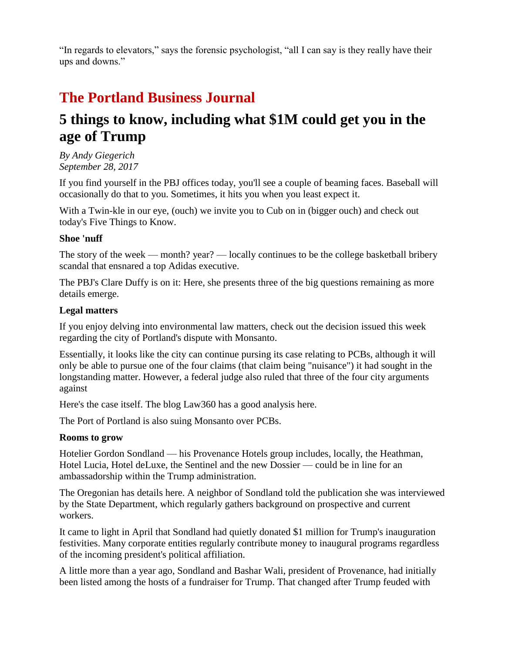"In regards to elevators," says the forensic psychologist, "all I can say is they really have their ups and downs."

# **The Portland Business Journal**

## **5 things to know, including what \$1M could get you in the age of Trump**

*By Andy Giegerich September 28, 2017*

If you find yourself in the PBJ offices today, you'll see a couple of beaming faces. Baseball will occasionally do that to you. Sometimes, it hits you when you least expect it.

With a Twin-kle in our eye, (ouch) we invite you to Cub on in (bigger ouch) and check out today's Five Things to Know.

### **Shoe 'nuff**

The story of the week — month? year? — locally continues to be the college basketball bribery scandal that ensnared a top Adidas executive.

The PBJ's Clare Duffy is on it: Here, she presents three of the big questions remaining as more details emerge.

#### **Legal matters**

If you enjoy delving into environmental law matters, check out the decision issued this week regarding the city of Portland's dispute with Monsanto.

Essentially, it looks like the city can continue pursing its case relating to PCBs, although it will only be able to pursue one of the four claims (that claim being "nuisance") it had sought in the longstanding matter. However, a federal judge also ruled that three of the four city arguments against

Here's the case itself. The blog Law360 has a good analysis here.

The Port of Portland is also suing Monsanto over PCBs.

#### **Rooms to grow**

Hotelier Gordon Sondland — his Provenance Hotels group includes, locally, the Heathman, Hotel Lucia, Hotel deLuxe, the Sentinel and the new Dossier — could be in line for an ambassadorship within the Trump administration.

The Oregonian has details here. A neighbor of Sondland told the publication she was interviewed by the State Department, which regularly gathers background on prospective and current workers.

It came to light in April that Sondland had quietly donated \$1 million for Trump's inauguration festivities. Many corporate entities regularly contribute money to inaugural programs regardless of the incoming president's political affiliation.

A little more than a year ago, Sondland and Bashar Wali, president of Provenance, had initially been listed among the hosts of a fundraiser for Trump. That changed after Trump feuded with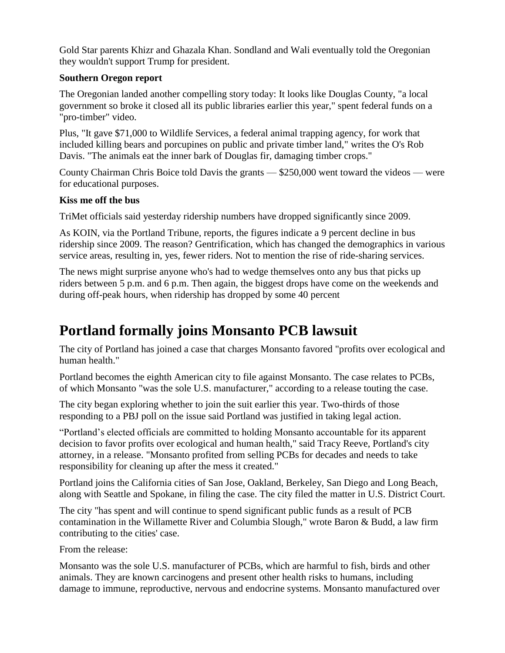Gold Star parents Khizr and Ghazala Khan. Sondland and Wali eventually told the Oregonian they wouldn't support Trump for president.

### **Southern Oregon report**

The Oregonian landed another compelling story today: It looks like Douglas County, "a local government so broke it closed all its public libraries earlier this year," spent federal funds on a "pro-timber" video.

Plus, "It gave \$71,000 to Wildlife Services, a federal animal trapping agency, for work that included killing bears and porcupines on public and private timber land," writes the O's Rob Davis. "The animals eat the inner bark of Douglas fir, damaging timber crops."

County Chairman Chris Boice told Davis the grants — \$250,000 went toward the videos — were for educational purposes.

### **Kiss me off the bus**

TriMet officials said yesterday ridership numbers have dropped significantly since 2009.

As KOIN, via the Portland Tribune, reports, the figures indicate a 9 percent decline in bus ridership since 2009. The reason? Gentrification, which has changed the demographics in various service areas, resulting in, yes, fewer riders. Not to mention the rise of ride-sharing services.

The news might surprise anyone who's had to wedge themselves onto any bus that picks up riders between 5 p.m. and 6 p.m. Then again, the biggest drops have come on the weekends and during off-peak hours, when ridership has dropped by some 40 percent

## **Portland formally joins Monsanto PCB lawsuit**

The city of Portland has joined a case that charges Monsanto favored "profits over ecological and human health."

Portland becomes the eighth American city to file against Monsanto. The case relates to PCBs, of which Monsanto "was the sole U.S. manufacturer," according to a release touting the case.

The city began exploring whether to join the suit earlier this year. Two-thirds of those responding to a PBJ poll on the issue said Portland was justified in taking legal action.

"Portland's elected officials are committed to holding Monsanto accountable for its apparent decision to favor profits over ecological and human health," said Tracy Reeve, Portland's city attorney, in a release. "Monsanto profited from selling PCBs for decades and needs to take responsibility for cleaning up after the mess it created."

Portland joins the California cities of San Jose, Oakland, Berkeley, San Diego and Long Beach, along with Seattle and Spokane, in filing the case. The city filed the matter in U.S. District Court.

The city "has spent and will continue to spend significant public funds as a result of PCB contamination in the Willamette River and Columbia Slough," wrote Baron & Budd, a law firm contributing to the cities' case.

From the release:

Monsanto was the sole U.S. manufacturer of PCBs, which are harmful to fish, birds and other animals. They are known carcinogens and present other health risks to humans, including damage to immune, reproductive, nervous and endocrine systems. Monsanto manufactured over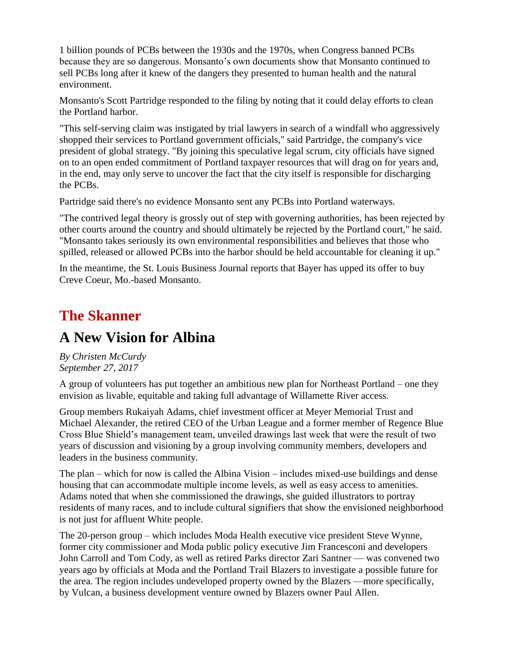1 billion pounds of PCBs between the 1930s and the 1970s, when Congress banned PCBs because they are so dangerous. Monsanto's own documents show that Monsanto continued to sell PCBs long after it knew of the dangers they presented to human health and the natural environment.

Monsanto's Scott Partridge responded to the filing by noting that it could delay efforts to clean the Portland harbor.

"This self-serving claim was instigated by trial lawyers in search of a windfall who aggressively shopped their services to Portland government officials," said Partridge, the company's vice president of global strategy. "By joining this speculative legal scrum, city officials have signed on to an open ended commitment of Portland taxpayer resources that will drag on for years and, in the end, may only serve to uncover the fact that the city itself is responsible for discharging the PCBs.

Partridge said there's no evidence Monsanto sent any PCBs into Portland waterways.

"The contrived legal theory is grossly out of step with governing authorities, has been rejected by other courts around the country and should ultimately be rejected by the Portland court," he said. "Monsanto takes seriously its own environmental responsibilities and believes that those who spilled, released or allowed PCBs into the harbor should be held accountable for cleaning it up."

In the meantime, the St. Louis Business Journal reports that Bayer has upped its offer to buy Creve Coeur, Mo.-based Monsanto.

### **The Skanner**

### **A New Vision for Albina**

*By Christen McCurdy September 27, 2017*

A group of volunteers has put together an ambitious new plan for Northeast Portland – one they envision as livable, equitable and taking full advantage of Willamette River access.

Group members Rukaiyah Adams, chief investment officer at Meyer Memorial Trust and Michael Alexander, the retired CEO of the Urban League and a former member of Regence Blue Cross Blue Shield's management team, unveiled drawings last week that were the result of two years of discussion and visioning by a group involving community members, developers and leaders in the business community.

The plan – which for now is called the Albina Vision – includes mixed-use buildings and dense housing that can accommodate multiple income levels, as well as easy access to amenities. Adams noted that when she commissioned the drawings, she guided illustrators to portray residents of many races, and to include cultural signifiers that show the envisioned neighborhood is not just for affluent White people.

The 20-person group – which includes Moda Health executive vice president Steve Wynne, former city commissioner and Moda public policy executive Jim Francesconi and developers John Carroll and Tom Cody, as well as retired Parks director Zari Santner — was convened two years ago by officials at Moda and the Portland Trail Blazers to investigate a possible future for the area. The region includes undeveloped property owned by the Blazers —more specifically, by Vulcan, a business development venture owned by Blazers owner Paul Allen.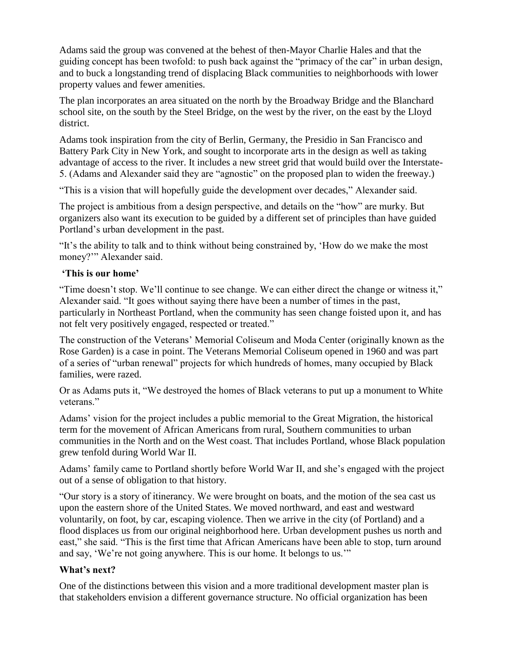Adams said the group was convened at the behest of then-Mayor Charlie Hales and that the guiding concept has been twofold: to push back against the "primacy of the car" in urban design, and to buck a longstanding trend of displacing Black communities to neighborhoods with lower property values and fewer amenities.

The plan incorporates an area situated on the north by the Broadway Bridge and the Blanchard school site, on the south by the Steel Bridge, on the west by the river, on the east by the Lloyd district.

Adams took inspiration from the city of Berlin, Germany, the Presidio in San Francisco and Battery Park City in New York, and sought to incorporate arts in the design as well as taking advantage of access to the river. It includes a new street grid that would build over the Interstate-5. (Adams and Alexander said they are "agnostic" on the proposed plan to widen the freeway.)

"This is a vision that will hopefully guide the development over decades," Alexander said.

The project is ambitious from a design perspective, and details on the "how" are murky. But organizers also want its execution to be guided by a different set of principles than have guided Portland's urban development in the past.

"It's the ability to talk and to think without being constrained by, 'How do we make the most money?'" Alexander said.

### **'This is our home'**

"Time doesn't stop. We'll continue to see change. We can either direct the change or witness it," Alexander said. "It goes without saying there have been a number of times in the past, particularly in Northeast Portland, when the community has seen change foisted upon it, and has not felt very positively engaged, respected or treated."

The construction of the Veterans' Memorial Coliseum and Moda Center (originally known as the Rose Garden) is a case in point. The Veterans Memorial Coliseum opened in 1960 and was part of a series of "urban renewal" projects for which hundreds of homes, many occupied by Black families, were razed.

Or as Adams puts it, "We destroyed the homes of Black veterans to put up a monument to White veterans."

Adams' vision for the project includes a public memorial to the Great Migration, the historical term for the movement of African Americans from rural, Southern communities to urban communities in the North and on the West coast. That includes Portland, whose Black population grew tenfold during World War II.

Adams' family came to Portland shortly before World War II, and she's engaged with the project out of a sense of obligation to that history.

"Our story is a story of itinerancy. We were brought on boats, and the motion of the sea cast us upon the eastern shore of the United States. We moved northward, and east and westward voluntarily, on foot, by car, escaping violence. Then we arrive in the city (of Portland) and a flood displaces us from our original neighborhood here. Urban development pushes us north and east," she said. "This is the first time that African Americans have been able to stop, turn around and say, 'We're not going anywhere. This is our home. It belongs to us.'"

#### **What's next?**

One of the distinctions between this vision and a more traditional development master plan is that stakeholders envision a different governance structure. No official organization has been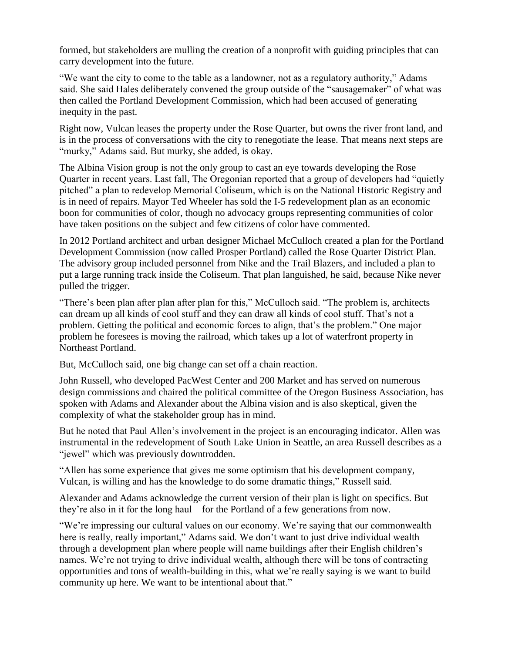formed, but stakeholders are mulling the creation of a nonprofit with guiding principles that can carry development into the future.

"We want the city to come to the table as a landowner, not as a regulatory authority," Adams said. She said Hales deliberately convened the group outside of the "sausagemaker" of what was then called the Portland Development Commission, which had been accused of generating inequity in the past.

Right now, Vulcan leases the property under the Rose Quarter, but owns the river front land, and is in the process of conversations with the city to renegotiate the lease. That means next steps are "murky," Adams said. But murky, she added, is okay.

The Albina Vision group is not the only group to cast an eye towards developing the Rose Quarter in recent years. Last fall, The Oregonian reported that a group of developers had "quietly pitched" a plan to redevelop Memorial Coliseum, which is on the National Historic Registry and is in need of repairs. Mayor Ted Wheeler has sold the I-5 redevelopment plan as an economic boon for communities of color, though no advocacy groups representing communities of color have taken positions on the subject and few citizens of color have commented.

In 2012 Portland architect and urban designer Michael McCulloch created a plan for the Portland Development Commission (now called Prosper Portland) called the Rose Quarter District Plan. The advisory group included personnel from Nike and the Trail Blazers, and included a plan to put a large running track inside the Coliseum. That plan languished, he said, because Nike never pulled the trigger.

"There's been plan after plan after plan for this," McCulloch said. "The problem is, architects can dream up all kinds of cool stuff and they can draw all kinds of cool stuff. That's not a problem. Getting the political and economic forces to align, that's the problem." One major problem he foresees is moving the railroad, which takes up a lot of waterfront property in Northeast Portland.

But, McCulloch said, one big change can set off a chain reaction.

John Russell, who developed PacWest Center and 200 Market and has served on numerous design commissions and chaired the political committee of the Oregon Business Association, has spoken with Adams and Alexander about the Albina vision and is also skeptical, given the complexity of what the stakeholder group has in mind.

But he noted that Paul Allen's involvement in the project is an encouraging indicator. Allen was instrumental in the redevelopment of South Lake Union in Seattle, an area Russell describes as a "jewel" which was previously downtrodden.

"Allen has some experience that gives me some optimism that his development company, Vulcan, is willing and has the knowledge to do some dramatic things," Russell said.

Alexander and Adams acknowledge the current version of their plan is light on specifics. But they're also in it for the long haul – for the Portland of a few generations from now.

"We're impressing our cultural values on our economy. We're saying that our commonwealth here is really, really important," Adams said. We don't want to just drive individual wealth through a development plan where people will name buildings after their English children's names. We're not trying to drive individual wealth, although there will be tons of contracting opportunities and tons of wealth-building in this, what we're really saying is we want to build community up here. We want to be intentional about that."